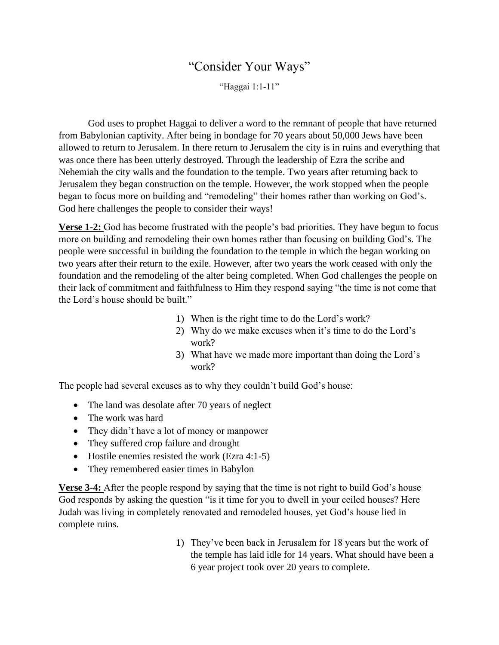## "Consider Your Ways"

"Haggai 1:1-11"

God uses to prophet Haggai to deliver a word to the remnant of people that have returned from Babylonian captivity. After being in bondage for 70 years about 50,000 Jews have been allowed to return to Jerusalem. In there return to Jerusalem the city is in ruins and everything that was once there has been utterly destroyed. Through the leadership of Ezra the scribe and Nehemiah the city walls and the foundation to the temple. Two years after returning back to Jerusalem they began construction on the temple. However, the work stopped when the people began to focus more on building and "remodeling" their homes rather than working on God's. God here challenges the people to consider their ways!

**Verse 1-2:** God has become frustrated with the people's bad priorities. They have begun to focus more on building and remodeling their own homes rather than focusing on building God's. The people were successful in building the foundation to the temple in which the began working on two years after their return to the exile. However, after two years the work ceased with only the foundation and the remodeling of the alter being completed. When God challenges the people on their lack of commitment and faithfulness to Him they respond saying "the time is not come that the Lord's house should be built."

- 1) When is the right time to do the Lord's work?
- 2) Why do we make excuses when it's time to do the Lord's work?
- 3) What have we made more important than doing the Lord's work?

The people had several excuses as to why they couldn't build God's house:

- The land was desolate after 70 years of neglect
- The work was hard
- They didn't have a lot of money or manpower
- They suffered crop failure and drought
- Hostile enemies resisted the work (Ezra 4:1-5)
- They remembered easier times in Babylon

**Verse 3-4:** After the people respond by saying that the time is not right to build God's house God responds by asking the question "is it time for you to dwell in your ceiled houses? Here Judah was living in completely renovated and remodeled houses, yet God's house lied in complete ruins.

> 1) They've been back in Jerusalem for 18 years but the work of the temple has laid idle for 14 years. What should have been a 6 year project took over 20 years to complete.